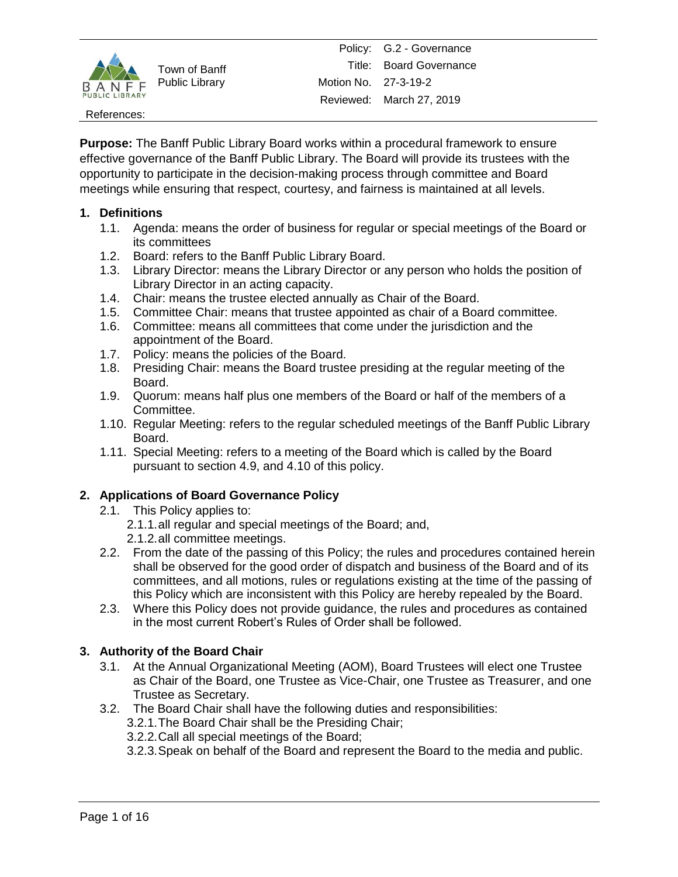

References:

**Purpose:** The Banff Public Library Board works within a procedural framework to ensure effective governance of the Banff Public Library. The Board will provide its trustees with the opportunity to participate in the decision-making process through committee and Board meetings while ensuring that respect, courtesy, and fairness is maintained at all levels.

# **1. Definitions**

- 1.1. Agenda: means the order of business for regular or special meetings of the Board or its committees
- 1.2. Board: refers to the Banff Public Library Board.
- 1.3. Library Director: means the Library Director or any person who holds the position of Library Director in an acting capacity.
- 1.4. Chair: means the trustee elected annually as Chair of the Board.
- 1.5. Committee Chair: means that trustee appointed as chair of a Board committee.
- 1.6. Committee: means all committees that come under the jurisdiction and the appointment of the Board.
- 1.7. Policy: means the policies of the Board.
- 1.8. Presiding Chair: means the Board trustee presiding at the regular meeting of the Board.
- 1.9. Quorum: means half plus one members of the Board or half of the members of a Committee.
- 1.10. Regular Meeting: refers to the regular scheduled meetings of the Banff Public Library Board.
- 1.11. Special Meeting: refers to a meeting of the Board which is called by the Board pursuant to section 4.9, and 4.10 of this policy.

## **2. Applications of Board Governance Policy**

- 2.1. This Policy applies to:
	- 2.1.1.all regular and special meetings of the Board; and,
	- 2.1.2.all committee meetings.
- 2.2. From the date of the passing of this Policy; the rules and procedures contained herein shall be observed for the good order of dispatch and business of the Board and of its committees, and all motions, rules or regulations existing at the time of the passing of this Policy which are inconsistent with this Policy are hereby repealed by the Board.
- 2.3. Where this Policy does not provide guidance, the rules and procedures as contained in the most current Robert's Rules of Order shall be followed.

# **3. Authority of the Board Chair**

- 3.1. At the Annual Organizational Meeting (AOM), Board Trustees will elect one Trustee as Chair of the Board, one Trustee as Vice-Chair, one Trustee as Treasurer, and one Trustee as Secretary.
- 3.2. The Board Chair shall have the following duties and responsibilities:
	- 3.2.1.The Board Chair shall be the Presiding Chair; 3.2.2.Call all special meetings of the Board;
	- 3.2.3.Speak on behalf of the Board and represent the Board to the media and public.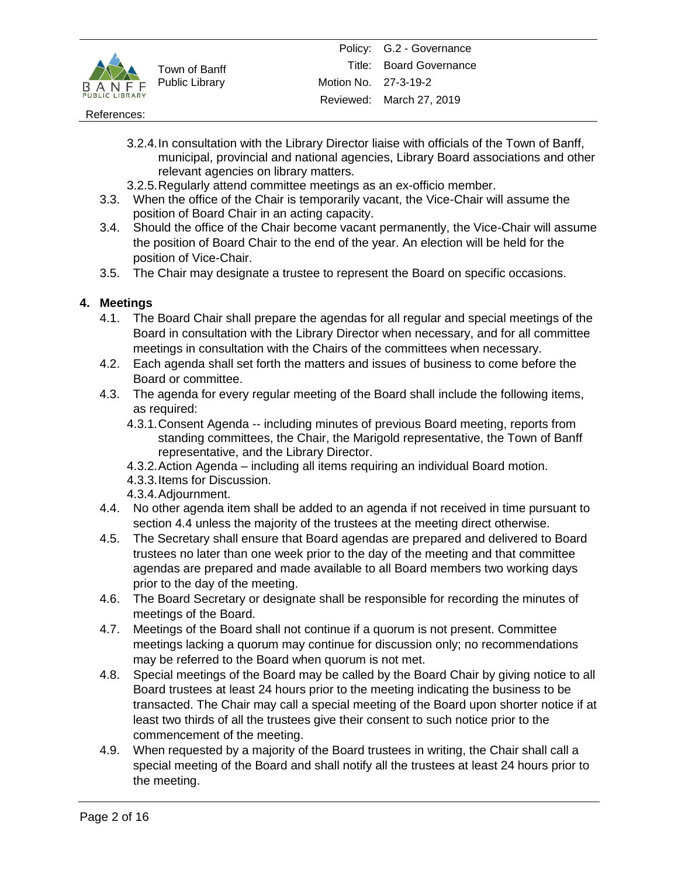

### References:

- 3.2.4.In consultation with the Library Director liaise with officials of the Town of Banff, municipal, provincial and national agencies, Library Board associations and other relevant agencies on library matters.
- 3.2.5.Regularly attend committee meetings as an ex-officio member.
- 3.3. When the office of the Chair is temporarily vacant, the Vice-Chair will assume the position of Board Chair in an acting capacity.
- 3.4. Should the office of the Chair become vacant permanently, the Vice-Chair will assume the position of Board Chair to the end of the year. An election will be held for the position of Vice-Chair.
- 3.5. The Chair may designate a trustee to represent the Board on specific occasions.

# **4. Meetings**

- 4.1. The Board Chair shall prepare the agendas for all regular and special meetings of the Board in consultation with the Library Director when necessary, and for all committee meetings in consultation with the Chairs of the committees when necessary.
- 4.2. Each agenda shall set forth the matters and issues of business to come before the Board or committee.
- 4.3. The agenda for every regular meeting of the Board shall include the following items, as required:
	- 4.3.1.Consent Agenda -- including minutes of previous Board meeting, reports from standing committees, the Chair, the Marigold representative, the Town of Banff representative, and the Library Director.
	- 4.3.2.Action Agenda including all items requiring an individual Board motion.
	- 4.3.3.Items for Discussion.
	- 4.3.4.Adjournment.
- 4.4. No other agenda item shall be added to an agenda if not received in time pursuant to section 4.4 unless the majority of the trustees at the meeting direct otherwise.
- 4.5. The Secretary shall ensure that Board agendas are prepared and delivered to Board trustees no later than one week prior to the day of the meeting and that committee agendas are prepared and made available to all Board members two working days prior to the day of the meeting.
- 4.6. The Board Secretary or designate shall be responsible for recording the minutes of meetings of the Board.
- 4.7. Meetings of the Board shall not continue if a quorum is not present. Committee meetings lacking a quorum may continue for discussion only; no recommendations may be referred to the Board when quorum is not met.
- 4.8. Special meetings of the Board may be called by the Board Chair by giving notice to all Board trustees at least 24 hours prior to the meeting indicating the business to be transacted. The Chair may call a special meeting of the Board upon shorter notice if at least two thirds of all the trustees give their consent to such notice prior to the commencement of the meeting.
- 4.9. When requested by a majority of the Board trustees in writing, the Chair shall call a special meeting of the Board and shall notify all the trustees at least 24 hours prior to the meeting.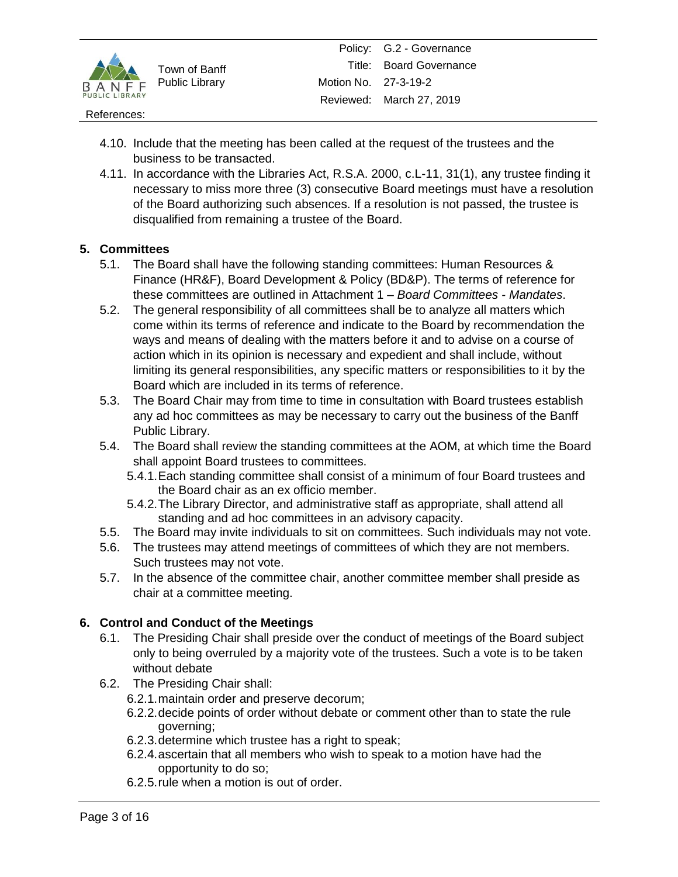

### References:

- 4.10. Include that the meeting has been called at the request of the trustees and the business to be transacted.
- 4.11. In accordance with the Libraries Act, R.S.A. 2000, c.L-11, 31(1), any trustee finding it necessary to miss more three (3) consecutive Board meetings must have a resolution of the Board authorizing such absences. If a resolution is not passed, the trustee is disqualified from remaining a trustee of the Board.

# **5. Committees**

- 5.1. The Board shall have the following standing committees: Human Resources & Finance (HR&F), Board Development & Policy (BD&P). The terms of reference for these committees are outlined in Attachment 1 – *Board Committees - Mandates*.
- 5.2. The general responsibility of all committees shall be to analyze all matters which come within its terms of reference and indicate to the Board by recommendation the ways and means of dealing with the matters before it and to advise on a course of action which in its opinion is necessary and expedient and shall include, without limiting its general responsibilities, any specific matters or responsibilities to it by the Board which are included in its terms of reference.
- 5.3. The Board Chair may from time to time in consultation with Board trustees establish any ad hoc committees as may be necessary to carry out the business of the Banff Public Library.
- 5.4. The Board shall review the standing committees at the AOM, at which time the Board shall appoint Board trustees to committees.
	- 5.4.1.Each standing committee shall consist of a minimum of four Board trustees and the Board chair as an ex officio member.
	- 5.4.2.The Library Director, and administrative staff as appropriate, shall attend all standing and ad hoc committees in an advisory capacity.
- 5.5. The Board may invite individuals to sit on committees. Such individuals may not vote.
- 5.6. The trustees may attend meetings of committees of which they are not members. Such trustees may not vote.
- 5.7. In the absence of the committee chair, another committee member shall preside as chair at a committee meeting.

# **6. Control and Conduct of the Meetings**

- 6.1. The Presiding Chair shall preside over the conduct of meetings of the Board subject only to being overruled by a majority vote of the trustees. Such a vote is to be taken without debate
- 6.2. The Presiding Chair shall:
	- 6.2.1.maintain order and preserve decorum;
	- 6.2.2.decide points of order without debate or comment other than to state the rule governing;
	- 6.2.3.determine which trustee has a right to speak;
	- 6.2.4.ascertain that all members who wish to speak to a motion have had the opportunity to do so;
	- 6.2.5.rule when a motion is out of order.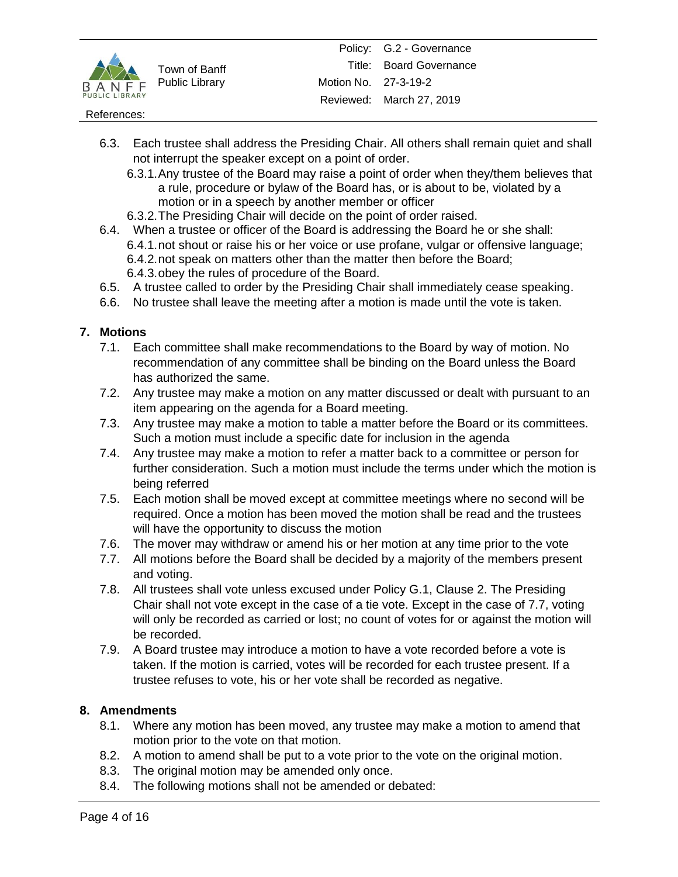

### References:

- 6.3. Each trustee shall address the Presiding Chair. All others shall remain quiet and shall not interrupt the speaker except on a point of order.
	- 6.3.1.Any trustee of the Board may raise a point of order when they/them believes that a rule, procedure or bylaw of the Board has, or is about to be, violated by a motion or in a speech by another member or officer
	- 6.3.2.The Presiding Chair will decide on the point of order raised.
- 6.4. When a trustee or officer of the Board is addressing the Board he or she shall: 6.4.1.not shout or raise his or her voice or use profane, vulgar or offensive language; 6.4.2.not speak on matters other than the matter then before the Board; 6.4.3.obey the rules of procedure of the Board.
- 6.5. A trustee called to order by the Presiding Chair shall immediately cease speaking.
- 6.6. No trustee shall leave the meeting after a motion is made until the vote is taken.

# **7. Motions**

- 7.1. Each committee shall make recommendations to the Board by way of motion. No recommendation of any committee shall be binding on the Board unless the Board has authorized the same.
- 7.2. Any trustee may make a motion on any matter discussed or dealt with pursuant to an item appearing on the agenda for a Board meeting.
- 7.3. Any trustee may make a motion to table a matter before the Board or its committees. Such a motion must include a specific date for inclusion in the agenda
- 7.4. Any trustee may make a motion to refer a matter back to a committee or person for further consideration. Such a motion must include the terms under which the motion is being referred
- 7.5. Each motion shall be moved except at committee meetings where no second will be required. Once a motion has been moved the motion shall be read and the trustees will have the opportunity to discuss the motion
- 7.6. The mover may withdraw or amend his or her motion at any time prior to the vote
- 7.7. All motions before the Board shall be decided by a majority of the members present and voting.
- 7.8. All trustees shall vote unless excused under Policy G.1, Clause 2. The Presiding Chair shall not vote except in the case of a tie vote. Except in the case of 7.7, voting will only be recorded as carried or lost; no count of votes for or against the motion will be recorded.
- 7.9. A Board trustee may introduce a motion to have a vote recorded before a vote is taken. If the motion is carried, votes will be recorded for each trustee present. If a trustee refuses to vote, his or her vote shall be recorded as negative.

# **8. Amendments**

- 8.1. Where any motion has been moved, any trustee may make a motion to amend that motion prior to the vote on that motion.
- 8.2. A motion to amend shall be put to a vote prior to the vote on the original motion.
- 8.3. The original motion may be amended only once.
- 8.4. The following motions shall not be amended or debated: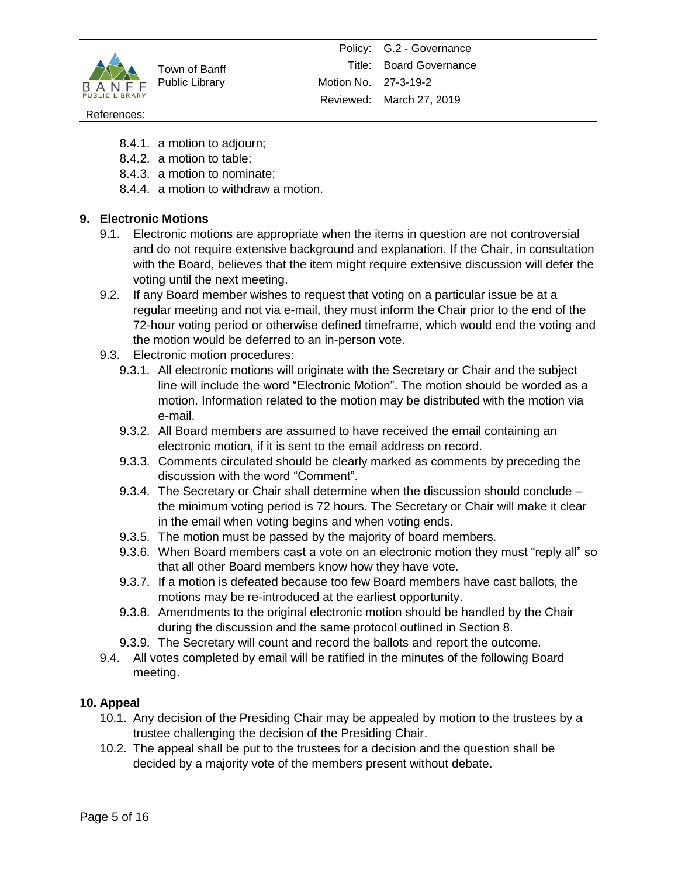

### References:

- 8.4.1. a motion to adjourn;
- 8.4.2. a motion to table;
- 8.4.3. a motion to nominate;
- 8.4.4. a motion to withdraw a motion.

# **9. Electronic Motions**

- 9.1. Electronic motions are appropriate when the items in question are not controversial and do not require extensive background and explanation. If the Chair, in consultation with the Board, believes that the item might require extensive discussion will defer the voting until the next meeting.
- 9.2. If any Board member wishes to request that voting on a particular issue be at a regular meeting and not via e-mail, they must inform the Chair prior to the end of the 72-hour voting period or otherwise defined timeframe, which would end the voting and the motion would be deferred to an in-person vote.
- 9.3. Electronic motion procedures:
	- 9.3.1. All electronic motions will originate with the Secretary or Chair and the subject line will include the word "Electronic Motion". The motion should be worded as a motion. Information related to the motion may be distributed with the motion via e-mail.
	- 9.3.2. All Board members are assumed to have received the email containing an electronic motion, if it is sent to the email address on record.
	- 9.3.3. Comments circulated should be clearly marked as comments by preceding the discussion with the word "Comment".
	- 9.3.4. The Secretary or Chair shall determine when the discussion should conclude the minimum voting period is 72 hours. The Secretary or Chair will make it clear in the email when voting begins and when voting ends.
	- 9.3.5. The motion must be passed by the majority of board members.
	- 9.3.6. When Board members cast a vote on an electronic motion they must "reply all" so that all other Board members know how they have vote.
	- 9.3.7. If a motion is defeated because too few Board members have cast ballots, the motions may be re-introduced at the earliest opportunity.
	- 9.3.8. Amendments to the original electronic motion should be handled by the Chair during the discussion and the same protocol outlined in Section 8.
	- 9.3.9. The Secretary will count and record the ballots and report the outcome.
- 9.4. All votes completed by email will be ratified in the minutes of the following Board meeting.

## **10. Appeal**

- 10.1. Any decision of the Presiding Chair may be appealed by motion to the trustees by a trustee challenging the decision of the Presiding Chair.
- 10.2. The appeal shall be put to the trustees for a decision and the question shall be decided by a majority vote of the members present without debate.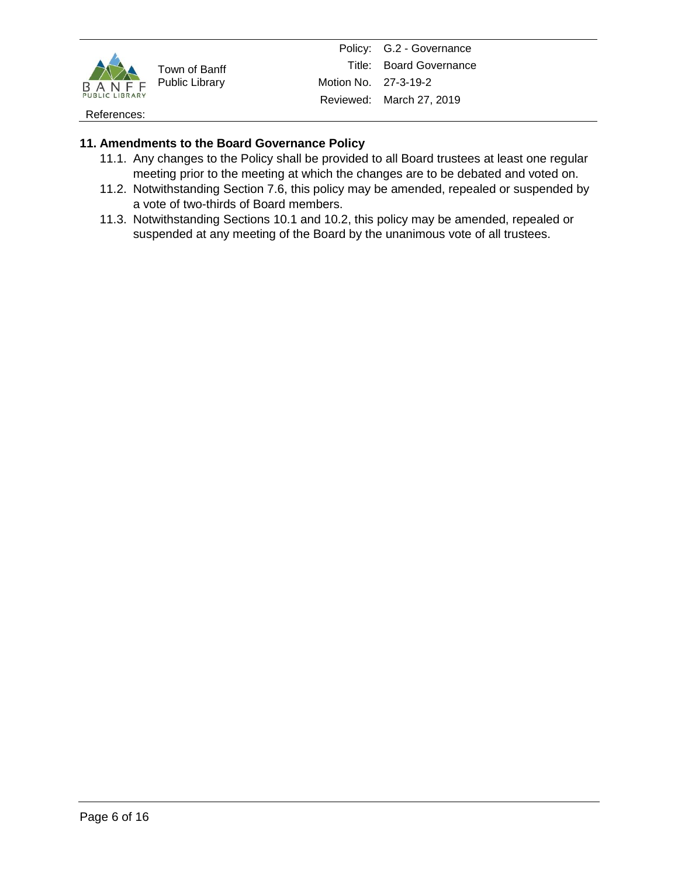

Policy: G.2 - Governance Title: Board Governance Motion No. 27-3-19-2 Reviewed: March 27, 2019

References:

# **11. Amendments to the Board Governance Policy**

- 11.1. Any changes to the Policy shall be provided to all Board trustees at least one regular meeting prior to the meeting at which the changes are to be debated and voted on.
- 11.2. Notwithstanding Section 7.6, this policy may be amended, repealed or suspended by a vote of two-thirds of Board members.
- 11.3. Notwithstanding Sections 10.1 and 10.2, this policy may be amended, repealed or suspended at any meeting of the Board by the unanimous vote of all trustees.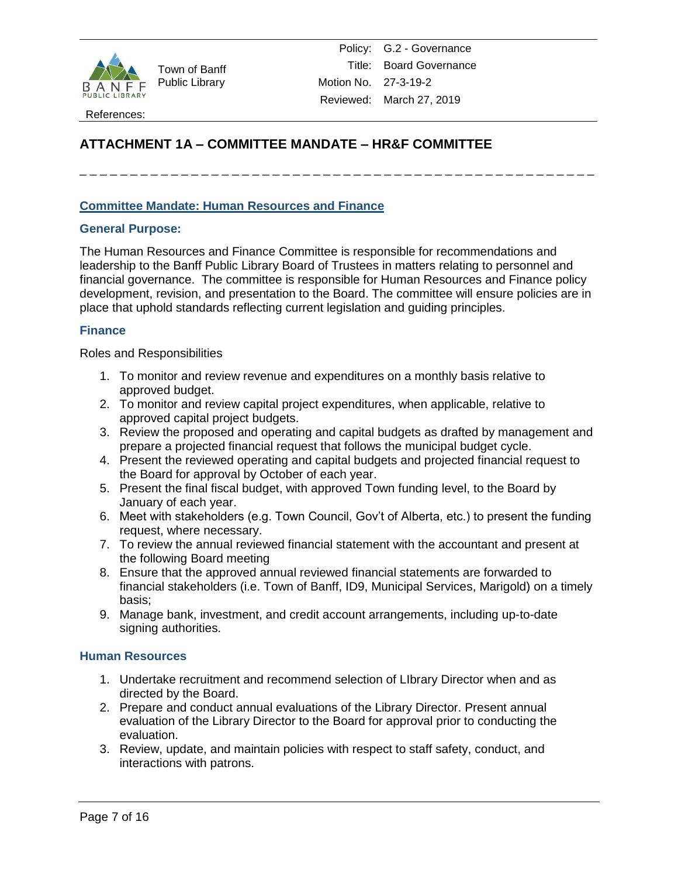

Policy: G.2 - Governance Title: Board Governance Motion No. 27-3-19-2 Reviewed: March 27, 2019

# **ATTACHMENT 1A – COMMITTEE MANDATE – HR&F COMMITTEE**

\_ \_ \_ \_ \_ \_ \_ \_ \_ \_ \_ \_ \_ \_ \_ \_ \_ \_ \_ \_ \_ \_ \_ \_ \_ \_ \_ \_ \_ \_ \_ \_ \_ \_ \_ \_ \_ \_ \_ \_ \_ \_ \_ \_ \_ \_ \_ \_ \_ \_ \_

## **Committee Mandate: Human Resources and Finance**

### **General Purpose:**

The Human Resources and Finance Committee is responsible for recommendations and leadership to the Banff Public Library Board of Trustees in matters relating to personnel and financial governance. The committee is responsible for Human Resources and Finance policy development, revision, and presentation to the Board. The committee will ensure policies are in place that uphold standards reflecting current legislation and guiding principles.

### **Finance**

Roles and Responsibilities

- 1. To monitor and review revenue and expenditures on a monthly basis relative to approved budget.
- 2. To monitor and review capital project expenditures, when applicable, relative to approved capital project budgets.
- 3. Review the proposed and operating and capital budgets as drafted by management and prepare a projected financial request that follows the municipal budget cycle.
- 4. Present the reviewed operating and capital budgets and projected financial request to the Board for approval by October of each year.
- 5. Present the final fiscal budget, with approved Town funding level, to the Board by January of each year.
- 6. Meet with stakeholders (e.g. Town Council, Gov't of Alberta, etc.) to present the funding request, where necessary.
- 7. To review the annual reviewed financial statement with the accountant and present at the following Board meeting
- 8. Ensure that the approved annual reviewed financial statements are forwarded to financial stakeholders (i.e. Town of Banff, ID9, Municipal Services, Marigold) on a timely basis;
- 9. Manage bank, investment, and credit account arrangements, including up-to-date signing authorities.

### **Human Resources**

- 1. Undertake recruitment and recommend selection of LIbrary Director when and as directed by the Board.
- 2. Prepare and conduct annual evaluations of the Library Director. Present annual evaluation of the Library Director to the Board for approval prior to conducting the evaluation.
- 3. Review, update, and maintain policies with respect to staff safety, conduct, and interactions with patrons.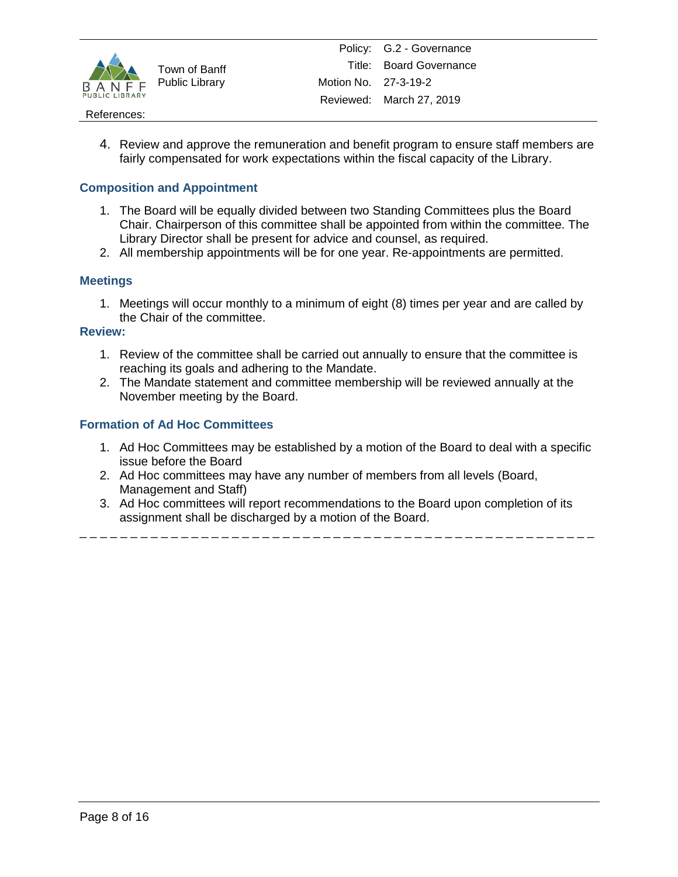

### References:

4. Review and approve the remuneration and benefit program to ensure staff members are fairly compensated for work expectations within the fiscal capacity of the Library.

## **Composition and Appointment**

- 1. The Board will be equally divided between two Standing Committees plus the Board Chair. Chairperson of this committee shall be appointed from within the committee. The Library Director shall be present for advice and counsel, as required.
- 2. All membership appointments will be for one year. Re-appointments are permitted.

### **Meetings**

1. Meetings will occur monthly to a minimum of eight (8) times per year and are called by the Chair of the committee.

### **Review:**

- 1. Review of the committee shall be carried out annually to ensure that the committee is reaching its goals and adhering to the Mandate.
- 2. The Mandate statement and committee membership will be reviewed annually at the November meeting by the Board.

## **Formation of Ad Hoc Committees**

- 1. Ad Hoc Committees may be established by a motion of the Board to deal with a specific issue before the Board
- 2. Ad Hoc committees may have any number of members from all levels (Board, Management and Staff)
- 3. Ad Hoc committees will report recommendations to the Board upon completion of its assignment shall be discharged by a motion of the Board.

\_ \_ \_ \_ \_ \_ \_ \_ \_ \_ \_ \_ \_ \_ \_ \_ \_ \_ \_ \_ \_ \_ \_ \_ \_ \_ \_ \_ \_ \_ \_ \_ \_ \_ \_ \_ \_ \_ \_ \_ \_ \_ \_ \_ \_ \_ \_ \_ \_ \_ \_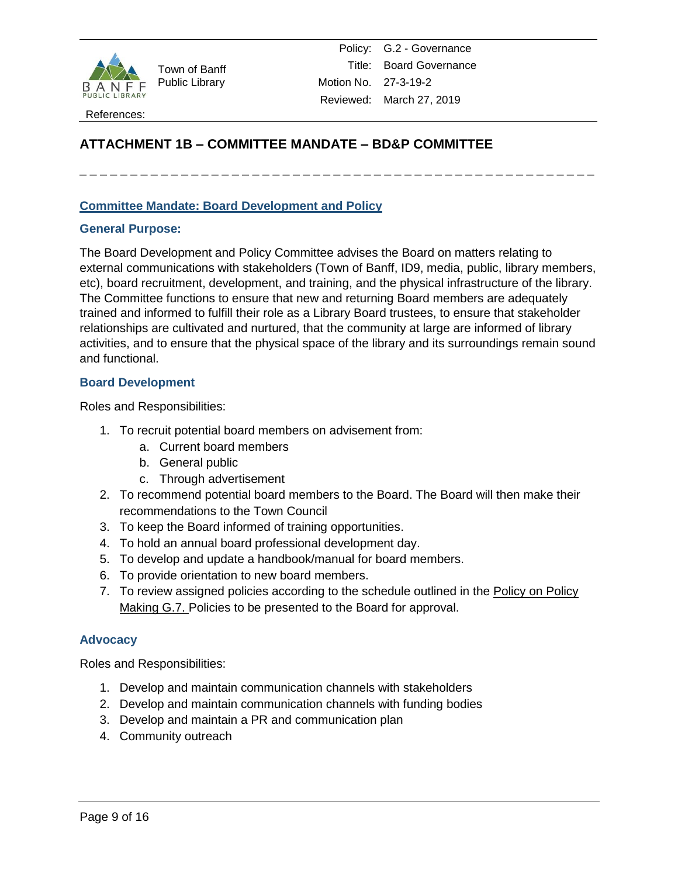

Policy: G.2 - Governance Title: Board Governance Motion No. 27-3-19-2 Reviewed: March 27, 2019

# **ATTACHMENT 1B – COMMITTEE MANDATE – BD&P COMMITTEE**

# \_ \_ \_ \_ \_ \_ \_ \_ \_ \_ \_ \_ \_ \_ \_ \_ \_ \_ \_ \_ \_ \_ \_ \_ \_ \_ \_ \_ \_ \_ \_ \_ \_ \_ \_ \_ \_ \_ \_ \_ \_ \_ \_ \_ \_ \_ \_ \_ \_ \_ \_

### **Committee Mandate: Board Development and Policy**

### **General Purpose:**

The Board Development and Policy Committee advises the Board on matters relating to external communications with stakeholders (Town of Banff, ID9, media, public, library members, etc), board recruitment, development, and training, and the physical infrastructure of the library. The Committee functions to ensure that new and returning Board members are adequately trained and informed to fulfill their role as a Library Board trustees, to ensure that stakeholder relationships are cultivated and nurtured, that the community at large are informed of library activities, and to ensure that the physical space of the library and its surroundings remain sound and functional.

### **Board Development**

Roles and Responsibilities:

- 1. To recruit potential board members on advisement from:
	- a. Current board members
	- b. General public
	- c. Through advertisement
- 2. To recommend potential board members to the Board. The Board will then make their recommendations to the Town Council
- 3. To keep the Board informed of training opportunities.
- 4. To hold an annual board professional development day.
- 5. To develop and update a handbook/manual for board members.
- 6. To provide orientation to new board members.
- 7. To review assigned policies according to the schedule outlined in the Policy on Policy Making G.7. Policies to be presented to the Board for approval.

### **Advocacy**

Roles and Responsibilities:

- 1. Develop and maintain communication channels with stakeholders
- 2. Develop and maintain communication channels with funding bodies
- 3. Develop and maintain a PR and communication plan
- 4. Community outreach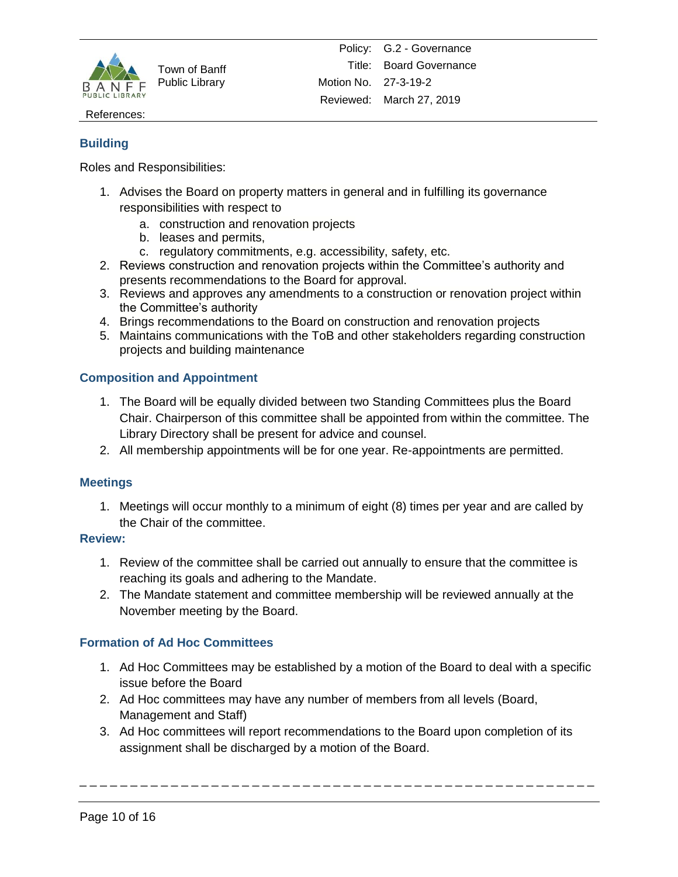

References:

## **Building**

Roles and Responsibilities:

- 1. Advises the Board on property matters in general and in fulfilling its governance responsibilities with respect to
	- a. construction and renovation projects
	- b. leases and permits,
	- c. regulatory commitments, e.g. accessibility, safety, etc.
- 2. Reviews construction and renovation projects within the Committee's authority and presents recommendations to the Board for approval.
- 3. Reviews and approves any amendments to a construction or renovation project within the Committee's authority
- 4. Brings recommendations to the Board on construction and renovation projects
- 5. Maintains communications with the ToB and other stakeholders regarding construction projects and building maintenance

# **Composition and Appointment**

- 1. The Board will be equally divided between two Standing Committees plus the Board Chair. Chairperson of this committee shall be appointed from within the committee. The Library Directory shall be present for advice and counsel.
- 2. All membership appointments will be for one year. Re-appointments are permitted.

## **Meetings**

1. Meetings will occur monthly to a minimum of eight (8) times per year and are called by the Chair of the committee.

### **Review:**

- 1. Review of the committee shall be carried out annually to ensure that the committee is reaching its goals and adhering to the Mandate.
- 2. The Mandate statement and committee membership will be reviewed annually at the November meeting by the Board.

## **Formation of Ad Hoc Committees**

- 1. Ad Hoc Committees may be established by a motion of the Board to deal with a specific issue before the Board
- 2. Ad Hoc committees may have any number of members from all levels (Board, Management and Staff)
- 3. Ad Hoc committees will report recommendations to the Board upon completion of its assignment shall be discharged by a motion of the Board.

\_ \_ \_ \_ \_ \_ \_ \_ \_ \_ \_ \_ \_ \_ \_ \_ \_ \_ \_ \_ \_ \_ \_ \_ \_ \_ \_ \_ \_ \_ \_ \_ \_ \_ \_ \_ \_ \_ \_ \_ \_ \_ \_ \_ \_ \_ \_ \_ \_ \_ \_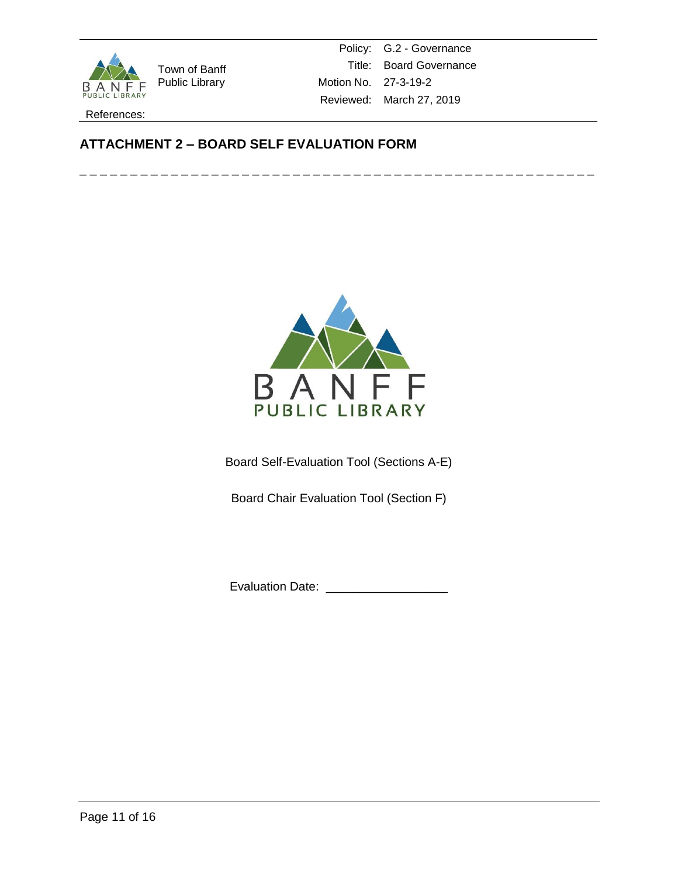

Policy: G.2 - Governance Title: Board Governance Motion No. 27-3-19-2 Reviewed: March 27, 2019

References:

# **ATTACHMENT 2 – BOARD SELF EVALUATION FORM**





Board Self-Evaluation Tool (Sections A-E)

Board Chair Evaluation Tool (Section F)

Evaluation Date: \_\_\_\_\_\_\_\_\_\_\_\_\_\_\_\_\_\_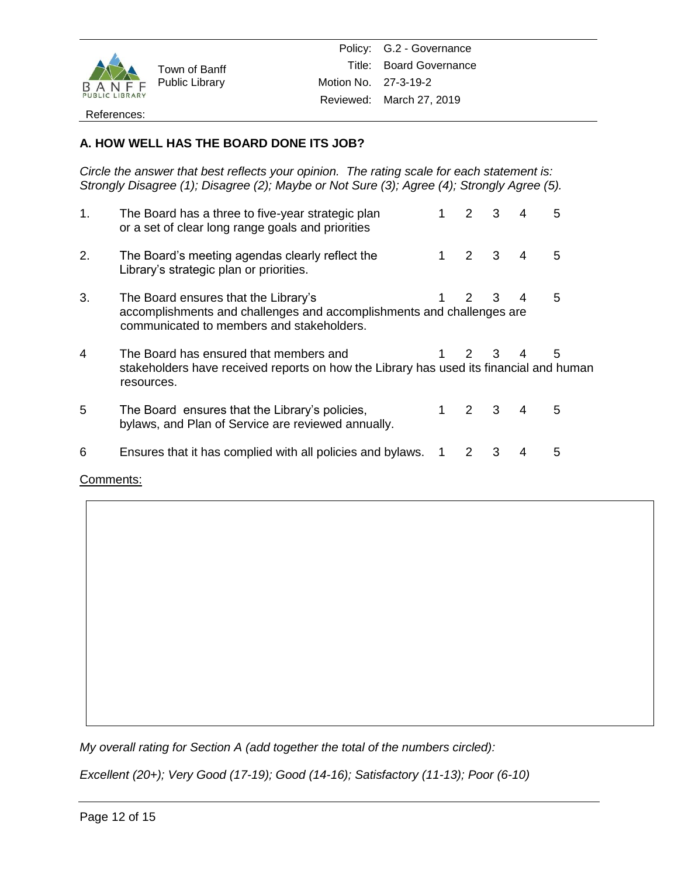

Policy: G.2 - Governance Title: Board Governance Motion No. 27-3-19-2 Reviewed: March 27, 2019

### References:

# **A. HOW WELL HAS THE BOARD DONE ITS JOB?**

*Circle the answer that best reflects your opinion. The rating scale for each statement is: Strongly Disagree (1); Disagree (2); Maybe or Not Sure (3); Agree (4); Strongly Agree (5).*

| 1. | The Board has a three to five-year strategic plan<br>or a set of clear long range goals and priorities                                                     |   | $\mathcal{P}$ | 3                       | 4 | 5 |
|----|------------------------------------------------------------------------------------------------------------------------------------------------------------|---|---------------|-------------------------|---|---|
| 2. | The Board's meeting agendas clearly reflect the<br>Library's strategic plan or priorities.                                                                 |   | 2             | $\overline{\mathbf{3}}$ | 4 | 5 |
| 3. | The Board ensures that the Library's<br>accomplishments and challenges and accomplishments and challenges are<br>communicated to members and stakeholders. |   | $\mathcal{P}$ | 3                       | 4 | 5 |
| 4  | The Board has ensured that members and<br>stakeholders have received reports on how the Library has used its financial and human<br>resources.             |   | $\mathcal{P}$ | 3                       | 4 | 5 |
| 5  | The Board ensures that the Library's policies,<br>bylaws, and Plan of Service are reviewed annually.                                                       |   | $2 \quad 3$   |                         | 4 | 5 |
| 6  | Ensures that it has complied with all policies and bylaws.                                                                                                 | 1 | 2             | 3                       | 4 | 5 |

Comments:

*My overall rating for Section A (add together the total of the numbers circled):* 

*Excellent (20+); Very Good (17-19); Good (14-16); Satisfactory (11-13); Poor (6-10)*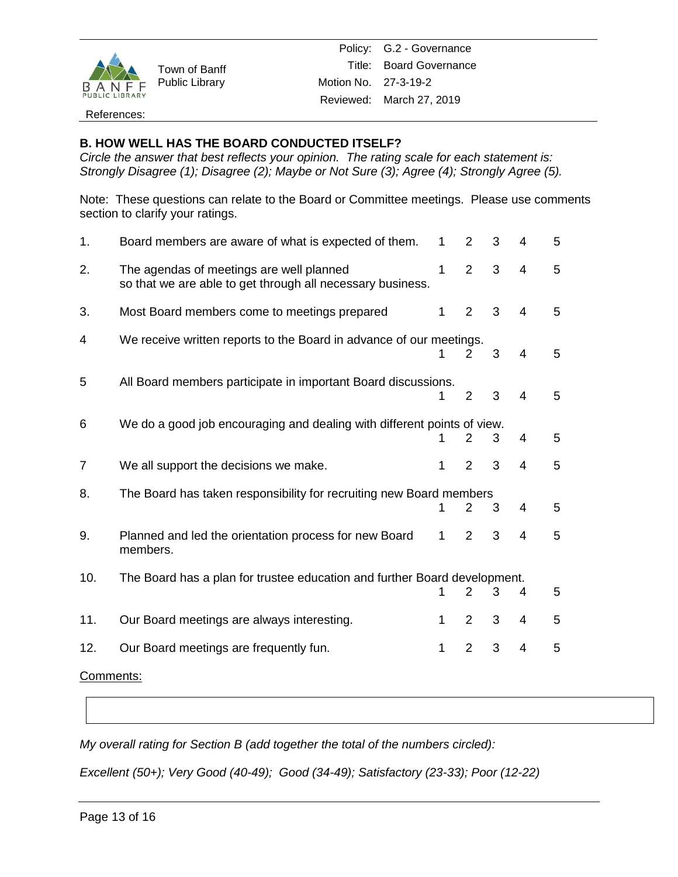

Policy: G.2 - Governance Title: Board Governance Motion No. 27-3-19-2 Reviewed: March 27, 2019

### References:

## **B. HOW WELL HAS THE BOARD CONDUCTED ITSELF?**

*Circle the answer that best reflects your opinion. The rating scale for each statement is: Strongly Disagree (1); Disagree (2); Maybe or Not Sure (3); Agree (4); Strongly Agree (5).*

Note: These questions can relate to the Board or Committee meetings. Please use comments section to clarify your ratings.

| 1.                                                                               | Board members are aware of what is expected of them.                                                   | 1            | $\overline{2}$        | 3 | 4 | 5 |  |
|----------------------------------------------------------------------------------|--------------------------------------------------------------------------------------------------------|--------------|-----------------------|---|---|---|--|
| 2.                                                                               | The agendas of meetings are well planned<br>so that we are able to get through all necessary business. | $\mathbf{1}$ | $\overline{2}$        | 3 | 4 | 5 |  |
| 3.                                                                               | Most Board members come to meetings prepared                                                           | $\mathbf{1}$ | $\overline{2}$        | 3 | 4 | 5 |  |
| 4                                                                                | We receive written reports to the Board in advance of our meetings.                                    | 1            | $\mathbf{2}^{\prime}$ | 3 | 4 | 5 |  |
| 5                                                                                | All Board members participate in important Board discussions.                                          | 1            | $\overline{2}$        | 3 | 4 | 5 |  |
| 6                                                                                | We do a good job encouraging and dealing with different points of view.                                | 1            | 2                     | 3 | 4 | 5 |  |
| $\overline{7}$                                                                   | We all support the decisions we make.                                                                  | $\mathbf{1}$ | $\overline{2}$        | 3 | 4 | 5 |  |
| 8.                                                                               | The Board has taken responsibility for recruiting new Board members                                    | 1            | $\overline{2}$        | 3 | 4 | 5 |  |
| 9.                                                                               | Planned and led the orientation process for new Board<br>members.                                      | $\mathbf 1$  | 2                     | 3 | 4 | 5 |  |
| The Board has a plan for trustee education and further Board development.<br>10. |                                                                                                        |              |                       |   |   |   |  |
|                                                                                  |                                                                                                        | 1            | $\overline{2}$        | 3 | 4 | 5 |  |
| 11.                                                                              | Our Board meetings are always interesting.                                                             | $\mathbf 1$  | 2                     | 3 | 4 | 5 |  |
| 12.                                                                              | Our Board meetings are frequently fun.                                                                 | 1            | $\overline{2}$        | 3 | 4 | 5 |  |
| Comments:                                                                        |                                                                                                        |              |                       |   |   |   |  |

*My overall rating for Section B (add together the total of the numbers circled):*

*Excellent (50+); Very Good (40-49); Good (34-49); Satisfactory (23-33); Poor (12-22)*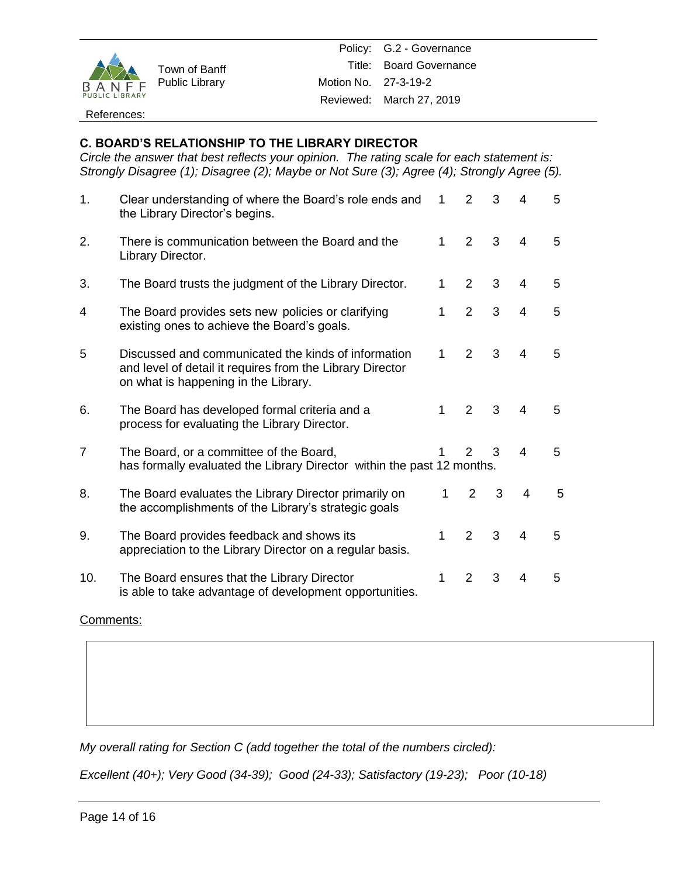

### References:

# **C. BOARD'S RELATIONSHIP TO THE LIBRARY DIRECTOR**

*Circle the answer that best reflects your opinion. The rating scale for each statement is: Strongly Disagree (1); Disagree (2); Maybe or Not Sure (3); Agree (4); Strongly Agree (5).*

| 1.             | Clear understanding of where the Board's role ends and<br>the Library Director's begins.                                                                 | 1            | $\overline{2}$ | 3 | 4                        | 5 |
|----------------|----------------------------------------------------------------------------------------------------------------------------------------------------------|--------------|----------------|---|--------------------------|---|
| 2.             | There is communication between the Board and the<br>Library Director.                                                                                    | 1            | 2              | 3 | $\overline{4}$           | 5 |
| 3.             | The Board trusts the judgment of the Library Director.                                                                                                   | 1            | 2              | 3 | $\overline{4}$           | 5 |
| 4              | The Board provides sets new policies or clarifying<br>existing ones to achieve the Board's goals.                                                        | 1            | $\overline{2}$ | 3 | $\overline{4}$           | 5 |
| 5              | Discussed and communicated the kinds of information<br>and level of detail it requires from the Library Director<br>on what is happening in the Library. | 1            | $\mathcal{P}$  | 3 | $\overline{4}$           | 5 |
| 6.             | The Board has developed formal criteria and a<br>process for evaluating the Library Director.                                                            | 1            | 2              | 3 | $\overline{\mathcal{L}}$ | 5 |
| $\overline{7}$ | The Board, or a committee of the Board,<br>has formally evaluated the Library Director within the past 12 months.                                        |              | $\mathcal{P}$  | 3 | $\overline{4}$           | 5 |
| 8.             | The Board evaluates the Library Director primarily on<br>the accomplishments of the Library's strategic goals                                            | $\mathbf{1}$ | $\overline{2}$ | 3 | 4                        | 5 |
| 9.             | The Board provides feedback and shows its<br>appreciation to the Library Director on a regular basis.                                                    | 1            | $\overline{2}$ | 3 | $\overline{4}$           | 5 |
| 10.            | The Board ensures that the Library Director<br>is able to take advantage of development opportunities.                                                   | 1            | 2              | 3 | $\overline{4}$           | 5 |

### Comments:

*My overall rating for Section C (add together the total of the numbers circled):*

*Excellent (40+); Very Good (34-39); Good (24-33); Satisfactory (19-23); Poor (10-18)*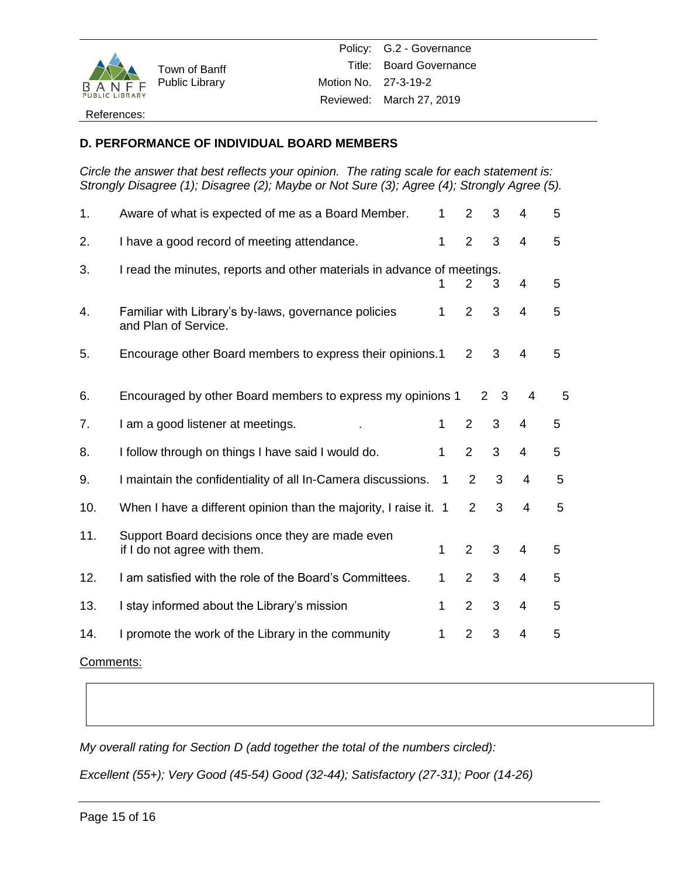

### References:

## **D. PERFORMANCE OF INDIVIDUAL BOARD MEMBERS**

*Circle the answer that best reflects your opinion. The rating scale for each statement is: Strongly Disagree (1); Disagree (2); Maybe or Not Sure (3); Agree (4); Strongly Agree (5).*

| 1.        | Aware of what is expected of me as a Board Member.                              | 1            | $\overline{2}$ | 3 | 4              | 5 |
|-----------|---------------------------------------------------------------------------------|--------------|----------------|---|----------------|---|
| 2.        | I have a good record of meeting attendance.                                     | 1            | $\overline{2}$ | 3 | $\overline{4}$ | 5 |
| 3.        | I read the minutes, reports and other materials in advance of meetings.         |              | 2              | 3 | 4              | 5 |
| 4.        | Familiar with Library's by-laws, governance policies<br>and Plan of Service.    | 1            | 2              | 3 | 4              | 5 |
| 5.        | Encourage other Board members to express their opinions.1                       |              | $\overline{2}$ | 3 | 4              | 5 |
| 6.        | Encouraged by other Board members to express my opinions 1                      |              | $\overline{2}$ | 3 | 4              | 5 |
| 7.        | I am a good listener at meetings.                                               | 1            | $\overline{2}$ | 3 | 4              | 5 |
| 8.        | I follow through on things I have said I would do.                              | 1            | $\overline{2}$ | 3 | 4              | 5 |
| 9.        | I maintain the confidentiality of all In-Camera discussions.                    | 1            | $\overline{2}$ | 3 | $\overline{4}$ | 5 |
| 10.       | When I have a different opinion than the majority, I raise it. 1                |              | $\overline{2}$ | 3 | $\overline{4}$ | 5 |
| 11.       | Support Board decisions once they are made even<br>if I do not agree with them. | 1            | $\overline{2}$ | 3 | $\overline{4}$ | 5 |
| 12.       | I am satisfied with the role of the Board's Committees.                         | 1            | $\overline{2}$ | 3 | 4              | 5 |
| 13.       | I stay informed about the Library's mission                                     | $\mathbf{1}$ | $\overline{2}$ | 3 | $\overline{4}$ | 5 |
| 14.       | I promote the work of the Library in the community                              | 1            | $\overline{2}$ | 3 | $\overline{4}$ | 5 |
| Comments: |                                                                                 |              |                |   |                |   |

*My overall rating for Section D (add together the total of the numbers circled):*

*Excellent (55+); Very Good (45-54) Good (32-44); Satisfactory (27-31); Poor (14-26)*